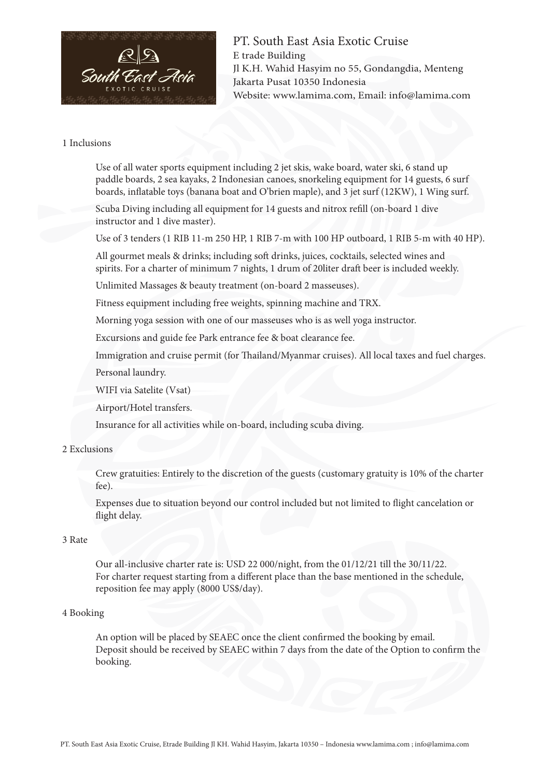

PT. South East Asia Exotic Cruise E trade Building Jl K.H. Wahid Hasyim no 55, Gondangdia, Menteng Jakarta Pusat 10350 Indonesia Website: www.lamima.com, Email: info@lamima.com

### 1 Inclusions

Use of all water sports equipment including 2 jet skis, wake board, water ski, 6 stand up paddle boards, 2 sea kayaks, 2 Indonesian canoes, snorkeling equipment for 14 guests, 6 surf boards, inflatable toys (banana boat and O'brien maple), and 3 jet surf (12KW), 1 Wing surf.

Scuba Diving including all equipment for 14 guests and nitrox refill (on-board 1 dive instructor and 1 dive master).

Use of 3 tenders (1 RIB 11-m 250 HP, 1 RIB 7-m with 100 HP outboard, 1 RIB 5-m with 40 HP).

All gourmet meals & drinks; including soft drinks, juices, cocktails, selected wines and spirits. For a charter of minimum 7 nights, 1 drum of 20liter draft beer is included weekly.

Unlimited Massages & beauty treatment (on-board 2 masseuses).

Fitness equipment including free weights, spinning machine and TRX.

Morning yoga session with one of our masseuses who is as well yoga instructor.

Excursions and guide fee Park entrance fee & boat clearance fee.

Immigration and cruise permit (for Thailand/Myanmar cruises). All local taxes and fuel charges.

Personal laundry.

WIFI via Satelite (Vsat)

Airport/Hotel transfers.

Insurance for all activities while on-board, including scuba diving.

#### 2 Exclusions

Crew gratuities: Entirely to the discretion of the guests (customary gratuity is 10% of the charter fee).

Expenses due to situation beyond our control included but not limited to flight cancelation or flight delay.

# 3 Rate

Our all-inclusive charter rate is: USD 22 000/night, from the 01/12/21 till the 30/11/22. For charter request starting from a different place than the base mentioned in the schedule, reposition fee may apply (8000 US\$/day).

#### 4 Booking

An option will be placed by SEAEC once the client confirmed the booking by email. Deposit should be received by SEAEC within 7 days from the date of the Option to confirm the booking.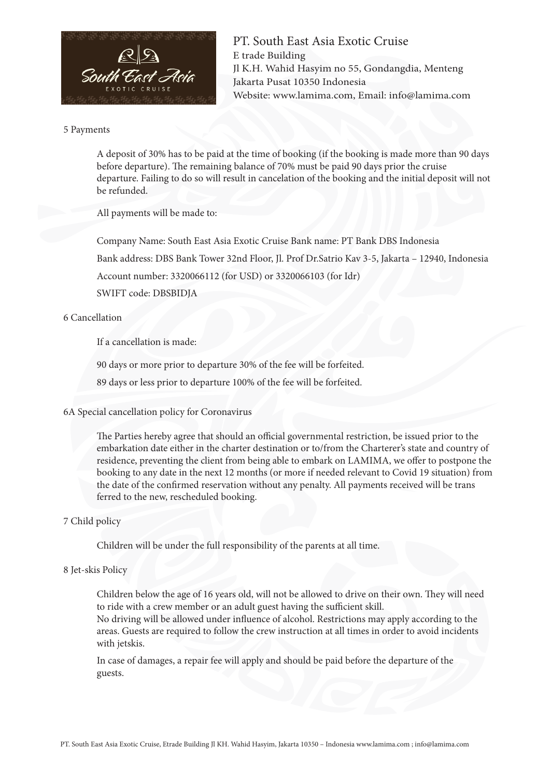

PT. South East Asia Exotic Cruise E trade Building Jl K.H. Wahid Hasyim no 55, Gondangdia, Menteng Jakarta Pusat 10350 Indonesia Website: www.lamima.com, Email: info@lamima.com

#### 5 Payments

A deposit of 30% has to be paid at the time of booking (if the booking is made more than 90 days before departure). The remaining balance of 70% must be paid 90 days prior the cruise departure. Failing to do so will result in cancelation of the booking and the initial deposit will not be refunded.

All payments will be made to:

Company Name: South East Asia Exotic Cruise Bank name: PT Bank DBS Indonesia

Bank address: DBS Bank Tower 32nd Floor, Jl. Prof Dr.Satrio Kav 3-5, Jakarta – 12940, Indonesia

Account number: 3320066112 (for USD) or 3320066103 (for Idr)

SWIFT code: DBSBIDJA

# 6 Cancellation

If a cancellation is made:

90 days or more prior to departure 30% of the fee will be forfeited.

89 days or less prior to departure 100% of the fee will be forfeited.

### 6A Special cancellation policy for Coronavirus

The Parties hereby agree that should an official governmental restriction, be issued prior to the embarkation date either in the charter destination or to/from the Charterer's state and country of residence, preventing the client from being able to embark on LAMIMA, we offer to postpone the booking to any date in the next 12 months (or more if needed relevant to Covid 19 situation) from the date of the confirmed reservation without any penalty. All payments received will be trans ferred to the new, rescheduled booking.

# 7 Child policy

Children will be under the full responsibility of the parents at all time.

# 8 Jet-skis Policy

Children below the age of 16 years old, will not be allowed to drive on their own. They will need to ride with a crew member or an adult guest having the sufficient skill.

No driving will be allowed under influence of alcohol. Restrictions may apply according to the areas. Guests are required to follow the crew instruction at all times in order to avoid incidents with jetskis.

In case of damages, a repair fee will apply and should be paid before the departure of the guests.